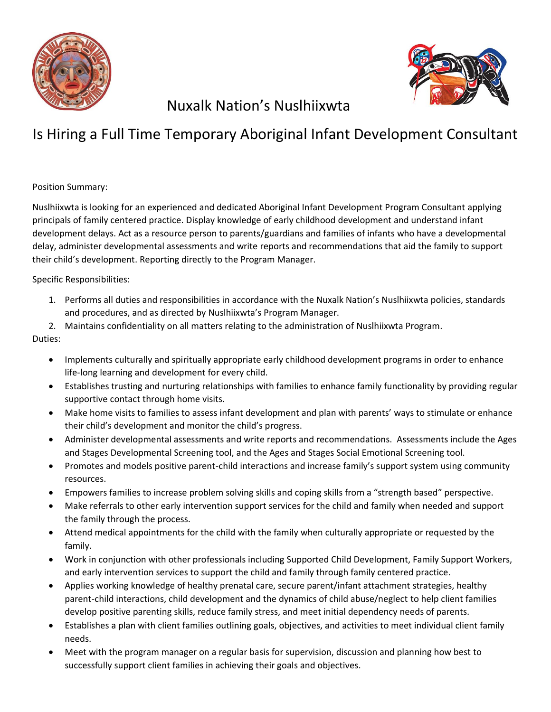



## Nuxalk Nation's Nuslhiixwta

# Is Hiring a Full Time Temporary Aboriginal Infant Development Consultant

### Position Summary:

Nuslhiixwta is looking for an experienced and dedicated Aboriginal Infant Development Program Consultant applying principals of family centered practice. Display knowledge of early childhood development and understand infant development delays. Act as a resource person to parents/guardians and families of infants who have a developmental delay, administer developmental assessments and write reports and recommendations that aid the family to support their child's development. Reporting directly to the Program Manager.

### Specific Responsibilities:

- 1. Performs all duties and responsibilities in accordance with the Nuxalk Nation's Nuslhiixwta policies, standards and procedures, and as directed by Nuslhiixwta's Program Manager.
- 2. Maintains confidentiality on all matters relating to the administration of Nuslhiixwta Program.

### Duties:

- Implements culturally and spiritually appropriate early childhood development programs in order to enhance life-long learning and development for every child.
- Establishes trusting and nurturing relationships with families to enhance family functionality by providing regular supportive contact through home visits.
- Make home visits to families to assess infant development and plan with parents' ways to stimulate or enhance their child's development and monitor the child's progress.
- Administer developmental assessments and write reports and recommendations. Assessments include the Ages and Stages Developmental Screening tool, and the Ages and Stages Social Emotional Screening tool.
- Promotes and models positive parent-child interactions and increase family's support system using community resources.
- Empowers families to increase problem solving skills and coping skills from a "strength based" perspective.
- Make referrals to other early intervention support services for the child and family when needed and support the family through the process.
- Attend medical appointments for the child with the family when culturally appropriate or requested by the family.
- Work in conjunction with other professionals including Supported Child Development, Family Support Workers, and early intervention services to support the child and family through family centered practice.
- Applies working knowledge of healthy prenatal care, secure parent/infant attachment strategies, healthy parent-child interactions, child development and the dynamics of child abuse/neglect to help client families develop positive parenting skills, reduce family stress, and meet initial dependency needs of parents.
- Establishes a plan with client families outlining goals, objectives, and activities to meet individual client family needs.
- Meet with the program manager on a regular basis for supervision, discussion and planning how best to successfully support client families in achieving their goals and objectives.